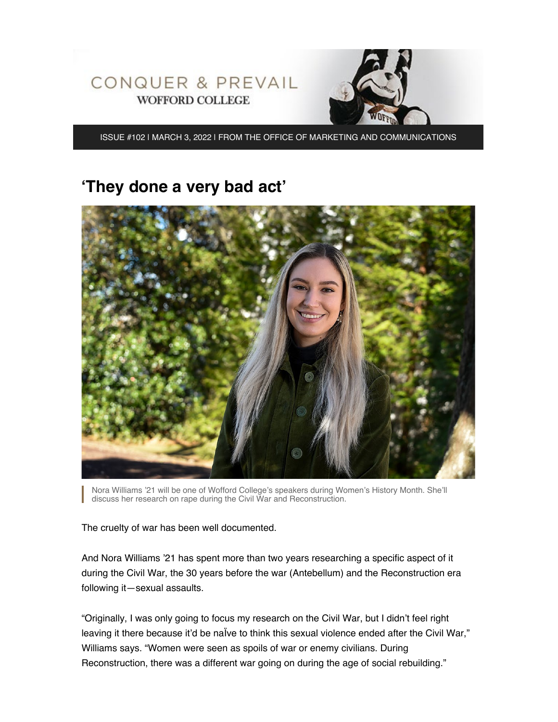

ISSUE #102 | MARCH 3, 2022 | FROM THE OFFICE OF MARKETING AND COMMUNICATIONS

## **'They done a very bad act'**



Nora Williams '21 will be one of Wofford College's speakers during Women's History Month. She'll discuss her research on rape during the Civil War and Reconstruction.

The cruelty of war has been well documented.

And Nora Williams '21 has spent more than two years researching a specific aspect of it during the Civil War, the 30 years before the war (Antebellum) and the Reconstruction era following it—sexual assaults.

"Originally, I was only going to focus my research on the Civil War, but I didn't feel right leaving it there because it'd be nalve to think this sexual violence ended after the Civil War," Williams says. "Women were seen as spoils of war or enemy civilians. During Reconstruction, there was a different war going on during the age of social rebuilding."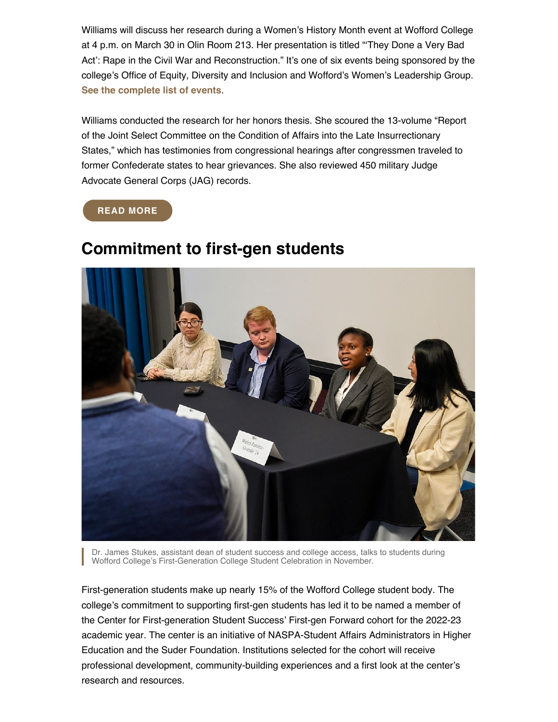Williams will discuss her research during a Women's History Month event at Wofford College at 4 p.m. on March 30 in Olin Room 213. Her presentation is titled "'They Done a Very Bad Act': Rape in the Civil War and Reconstruction." It's one of six events being sponsored by the college's Office of Equity, Diversity and Inclusion and Wofford's Women's Leadership Group. **[See the complete list of events](https://www.wofford.edu/about/news/womens-history-month-2022)**.

Williams conducted the research for her honors thesis. She scoured the 13-volume "Report of the Joint Select Committee on the Condition of Affairs into the Late Insurrectionary States," which has testimonies from congressional hearings after congressmen traveled to former Confederate states to hear grievances. She also reviewed 450 military Judge Advocate General Corps (JAG) records.

#### **[READ MORE](https://www.wofford.edu/about/news/news-archives/2022/they-done-a-very-bad-act)**



# **Commitment to first-gen students**

Dr. James Stukes, assistant dean of student success and college access, talks to students during Wofford College's First-Generation College Student Celebration in November.

First-generation students make up nearly 15% of the Wofford College student body. The college's commitment to supporting first-gen students has led it to be named a member of the Center for First-generation Student Success' First-gen Forward cohort for the 2022-23 academic year. The center is an initiative of NASPA-Student Affairs Administrators in Higher Education and the Suder Foundation. Institutions selected for the cohort will receive professional development, community-building experiences and a first look at the center's research and resources.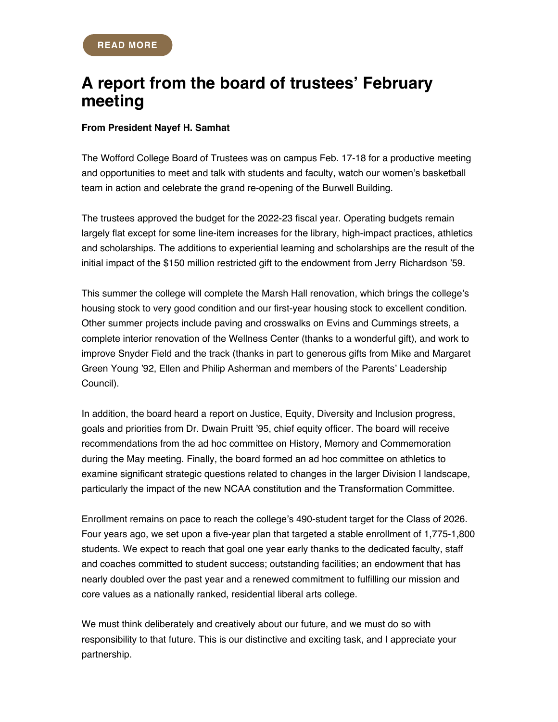## **A report from the board of trustees' February meeting**

#### **From President Nayef H. Samhat**

The Wofford College Board of Trustees was on campus Feb. 17-18 for a productive meeting and opportunities to meet and talk with students and faculty, watch our women's basketball team in action and celebrate the grand re-opening of the Burwell Building.

The trustees approved the budget for the 2022-23 fiscal year. Operating budgets remain largely flat except for some line-item increases for the library, high-impact practices, athletics and scholarships. The additions to experiential learning and scholarships are the result of the initial impact of the \$150 million restricted gift to the endowment from Jerry Richardson '59.

This summer the college will complete the Marsh Hall renovation, which brings the college's housing stock to very good condition and our first-year housing stock to excellent condition. Other summer projects include paving and crosswalks on Evins and Cummings streets, a complete interior renovation of the Wellness Center (thanks to a wonderful gift), and work to improve Snyder Field and the track (thanks in part to generous gifts from Mike and Margaret Green Young '92, Ellen and Philip Asherman and members of the Parents' Leadership Council).

In addition, the board heard a report on Justice, Equity, Diversity and Inclusion progress, goals and priorities from Dr. Dwain Pruitt '95, chief equity officer. The board will receive recommendations from the ad hoc committee on History, Memory and Commemoration during the May meeting. Finally, the board formed an ad hoc committee on athletics to examine significant strategic questions related to changes in the larger Division I landscape, particularly the impact of the new NCAA constitution and the Transformation Committee.

Enrollment remains on pace to reach the college's 490-student target for the Class of 2026. Four years ago, we set upon a five-year plan that targeted a stable enrollment of 1,775-1,800 students. We expect to reach that goal one year early thanks to the dedicated faculty, staff and coaches committed to student success; outstanding facilities; an endowment that has nearly doubled over the past year and a renewed commitment to fulfilling our mission and core values as a nationally ranked, residential liberal arts college.

We must think deliberately and creatively about our future, and we must do so with responsibility to that future. This is our distinctive and exciting task, and I appreciate your partnership.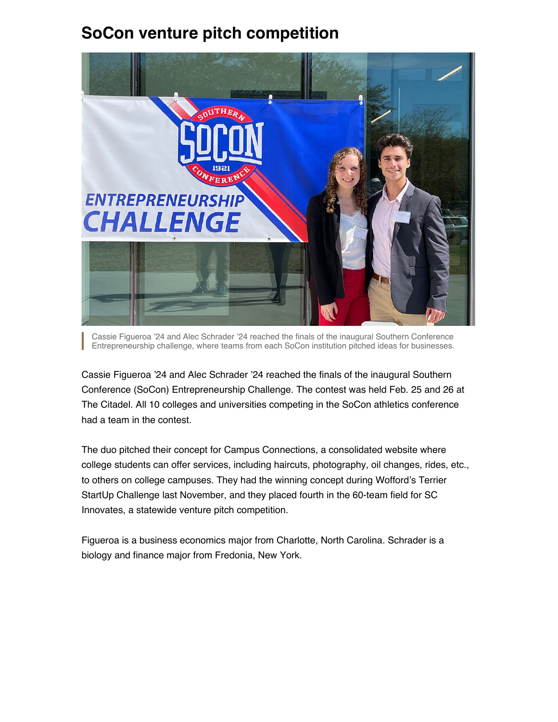# **SoCon venture pitch competition**



Cassie Figueroa '24 and Alec Schrader '24 reached the finals of the inaugural Southern Conference Entrepreneurship challenge, where teams from each SoCon institution pitched ideas for businesses.

Cassie Figueroa '24 and Alec Schrader '24 reached the finals of the inaugural Southern Conference (SoCon) Entrepreneurship Challenge. The contest was held Feb. 25 and 26 at The Citadel. All 10 colleges and universities competing in the SoCon athletics conference had a team in the contest.

The duo pitched their concept for Campus Connections, a consolidated website where college students can offer services, including haircuts, photography, oil changes, rides, etc., to others on college campuses. They had the winning concept during Wofford's Terrier StartUp Challenge last November, and they placed fourth in the 60-team field for SC Innovates, a statewide venture pitch competition.

Figueroa is a business economics major from Charlotte, North Carolina. Schrader is a biology and finance major from Fredonia, New York.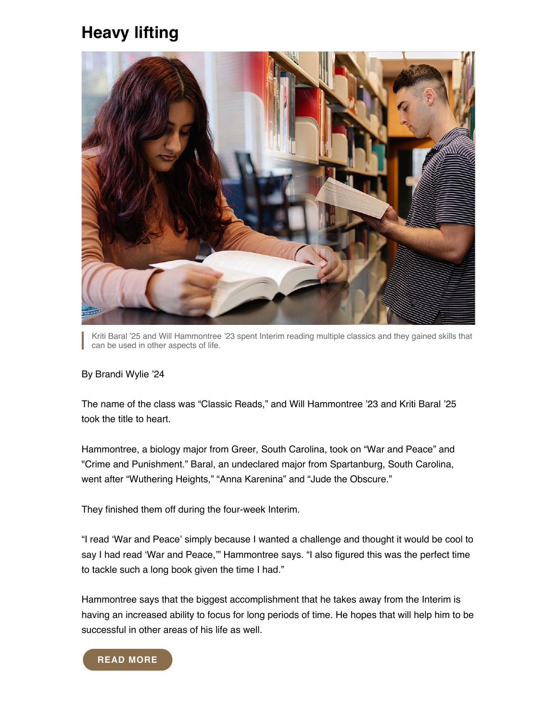## **Heavy lifting**



Kriti Baral '25 and Will Hammontree '23 spent Interim reading multiple classics and they gained skills that can be used in other aspects of life.

#### By Brandi Wylie '24

The name of the class was "Classic Reads," and Will Hammontree '23 and Kriti Baral '25 took the title to heart.

Hammontree, a biology major from Greer, South Carolina, took on "War and Peace" and "Crime and Punishment." Baral, an undeclared major from Spartanburg, South Carolina, went after "Wuthering Heights," "Anna Karenina" and "Jude the Obscure."

They finished them off during the four-week Interim.

"I read 'War and Peace' simply because I wanted a challenge and thought it would be cool to say I had read 'War and Peace,'" Hammontree says. "I also figured this was the perfect time to tackle such a long book given the time I had."

Hammontree says that the biggest accomplishment that he takes away from the Interim is having an increased ability to focus for long periods of time. He hopes that will help him to be successful in other areas of his life as well.

#### **[READ MORE](https://www.wofford.edu/about/news/news-archives/2022/heavy-lifting)**